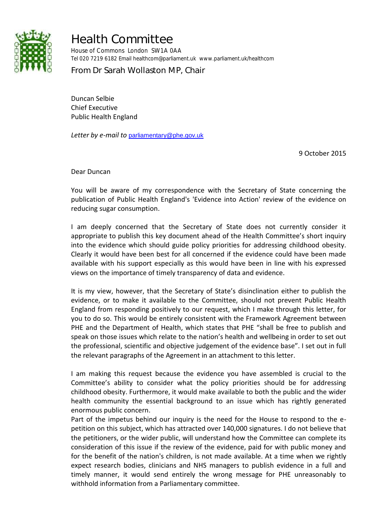

## Health Committee

House of Commons London SW1A 0AA Tel 020 7219 6182 Email healthcom@parliament.uk www.parliament.uk/healthcom

From Dr Sarah Wollaston MP, Chair

Duncan Selbie Chief Executive Public Health England

*Letter by e-mail to* [parliamentary@phe.gov.uk](mailto:parliamentary@phe.gov.uk)

9 October 2015

Dear Duncan

You will be aware of my correspondence with the Secretary of State concerning the publication of Public Health England's 'Evidence into Action' review of the evidence on reducing sugar consumption.

I am deeply concerned that the Secretary of State does not currently consider it appropriate to publish this key document ahead of the Health Committee's short inquiry into the evidence which should guide policy priorities for addressing childhood obesity. Clearly it would have been best for all concerned if the evidence could have been made available with his support especially as this would have been in line with his expressed views on the importance of timely transparency of data and evidence.

It is my view, however, that the Secretary of State's disinclination either to publish the evidence, or to make it available to the Committee, should not prevent Public Health England from responding positively to our request, which I make through this letter, for you to do so. This would be entirely consistent with the Framework Agreement between PHE and the Department of Health, which states that PHE "shall be free to publish and speak on those issues which relate to the nation's health and wellbeing in order to set out the professional, scientific and objective judgement of the evidence base". I set out in full the relevant paragraphs of the Agreement in an attachment to this letter.

I am making this request because the evidence you have assembled is crucial to the Committee's ability to consider what the policy priorities should be for addressing childhood obesity. Furthermore, it would make available to both the public and the wider health community the essential background to an issue which has rightly generated enormous public concern.

Part of the impetus behind our inquiry is the need for the House to respond to the epetition on this subject, which has attracted over 140,000 signatures. I do not believe that the petitioners, or the wider public, will understand how the Committee can complete its consideration of this issue if the review of the evidence, paid for with public money and for the benefit of the nation's children, is not made available. At a time when we rightly expect research bodies, clinicians and NHS managers to publish evidence in a full and timely manner, it would send entirely the wrong message for PHE unreasonably to withhold information from a Parliamentary committee.